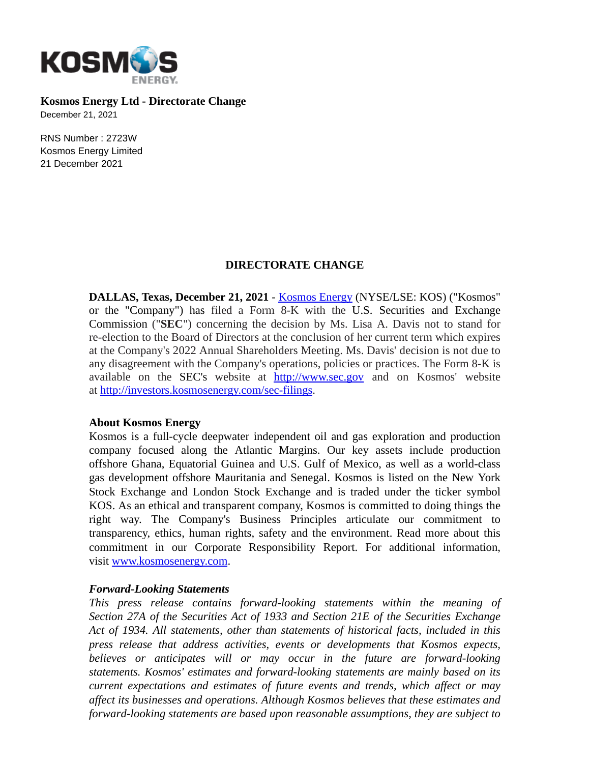

**Kosmos Energy Ltd - Directorate Change**

December 21, 2021

RNS Number : 2723W Kosmos Energy Limited 21 December 2021

## **DIRECTORATE CHANGE**

**DALLAS, Texas, December 21, 2021** - [Kosmos Energy](http://www.kosmosenergy.com/) (NYSE/LSE: KOS) ("Kosmos" or the "Company") has filed a Form 8-K with the U.S. Securities and Exchange Commission ("**SEC**") concerning the decision by Ms. Lisa A. Davis not to stand for re-election to the Board of Directors at the conclusion of her current term which expires at the Company's 2022 Annual Shareholders Meeting. Ms. Davis' decision is not due to any disagreement with the Company's operations, policies or practices. The Form 8-K is available on the SEC's website at [http://www.sec.gov](https://nam11.safelinks.protection.outlook.com/?url=http%3A%2F%2Fwww.sec.gov%2F&data=04%7C01%7Cjbuckland%40kosmosenergy.com%7C44fe43e5f25f458faa5f08d9c3fdcc51%7Ced1a53f766ae462a83a4fec7d6ad4481%7C0%7C0%7C637756317248560288%7CUnknown%7CTWFpbGZsb3d8eyJWIjoiMC4wLjAwMDAiLCJQIjoiV2luMzIiLCJBTiI6Ik1haWwiLCJXVCI6Mn0%3D%7C3000&sdata=2gH5FRpsoe2y2tNFf7v99buMvnJtYKsu8S2agZb3lbA%3D&reserved=0) and on Kosmos' website at [http://investors.kosmosenergy.com/sec-filings.](https://nam11.safelinks.protection.outlook.com/?url=http%3A%2F%2Finvestors.kosmosenergy.com%2Fsec-filings&data=04%7C01%7Cjbuckland%40kosmosenergy.com%7C44fe43e5f25f458faa5f08d9c3fdcc51%7Ced1a53f766ae462a83a4fec7d6ad4481%7C0%7C0%7C637756317248560288%7CUnknown%7CTWFpbGZsb3d8eyJWIjoiMC4wLjAwMDAiLCJQIjoiV2luMzIiLCJBTiI6Ik1haWwiLCJXVCI6Mn0%3D%7C3000&sdata=Ond7ut%2FOUP24ErPPVTCBxfeiRYsUHNtj9hPyGbNspdA%3D&reserved=0)

## **About Kosmos Energy**

Kosmos is a full-cycle deepwater independent oil and gas exploration and production company focused along the Atlantic Margins. Our key assets include production offshore Ghana, Equatorial Guinea and U.S. Gulf of Mexico, as well as a world-class gas development offshore Mauritania and Senegal. Kosmos is listed on the New York Stock Exchange and London Stock Exchange and is traded under the ticker symbol KOS. As an ethical and transparent company, Kosmos is committed to doing things the right way. The Company's Business Principles articulate our commitment to transparency, ethics, human rights, safety and the environment. Read more about this commitment in our Corporate Responsibility Report. For additional information, visit [www.kosmosenergy.com.](https://cts.businesswire.com/ct/CT?id=smartlink&url=http%3A%2F%2Fwww.kosmosenergy.com&esheet=52122168&newsitemid=20191103005040&lan=en-US&anchor=www.kosmosenergy.com&index=2&md5=2a5f6a50bbb6fbc7e7ea23825f104710)

## *Forward-Looking Statements*

*This press release contains forward-looking statements within the meaning of Section 27A of the Securities Act of 1933 and Section 21E of the Securities Exchange Act of 1934. All statements, other than statements of historical facts, included in this press release that address activities, events or developments that Kosmos expects, believes or anticipates will or may occur in the future are forward-looking statements. Kosmos' estimates and forward-looking statements are mainly based on its current expectations and estimates of future events and trends, which affect or may affect its businesses and operations. Although Kosmos believes that these estimates and forward-looking statements are based upon reasonable assumptions, they are subject to*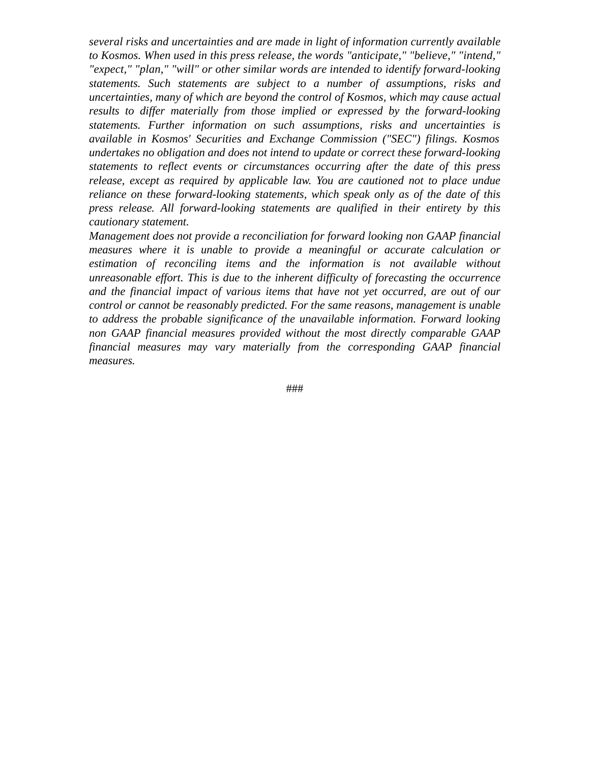*several risks and uncertainties and are made in light of information currently available to Kosmos. When used in this press release, the words "anticipate," "believe," "intend," "expect," "plan," "will" or other similar words are intended to identify forward-looking statements. Such statements are subject to a number of assumptions, risks and uncertainties, many of which are beyond the control of Kosmos, which may cause actual results to differ materially from those implied or expressed by the forward-looking statements. Further information on such assumptions, risks and uncertainties is available in Kosmos' Securities and Exchange Commission ("SEC") filings. Kosmos undertakes no obligation and does not intend to update or correct these forward-looking statements to reflect events or circumstances occurring after the date of this press release, except as required by applicable law. You are cautioned not to place undue reliance on these forward-looking statements, which speak only as of the date of this press release. All forward-looking statements are qualified in their entirety by this cautionary statement.*

*Management does not provide a reconciliation for forward looking non GAAP financial measures where it is unable to provide a meaningful or accurate calculation or estimation of reconciling items and the information is not available without unreasonable effort. This is due to the inherent difficulty of forecasting the occurrence and the financial impact of various items that have not yet occurred, are out of our control or cannot be reasonably predicted. For the same reasons, management is unable to address the probable significance of the unavailable information. Forward looking non GAAP financial measures provided without the most directly comparable GAAP financial measures may vary materially from the corresponding GAAP financial measures.*

###